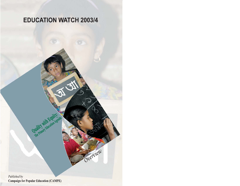# **EDUCATION WATCH 2003/4**

Overview

Published by **Campaign for Popular Education (CAMPE)** 

Quality with Equity: *The Primary Figures Agenda*<br>**The Primary Figures Agenda**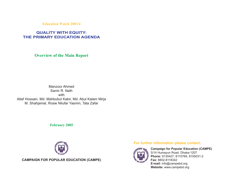**Education Watch 2003/4**

# **QUALITY WITH EQUITY: THE PRIMARY EDUCATION AGENDA**

**Overview of the Main Report**

Manzoor Ahmed Samir R. Nath with Altaf Hossain, Md. Mahbubul Kabir, Md. Abul Kalam Mirja M. Shahjamal, Rosie Nilufar Yasmin, Tata Zafar

**February 2005**



**CAMPAIGN FOR POPULAR EDUCATION (CAMPE)**

## **For further information please contact:**



**Campaign for Popular Education (CAMPE)** 5/14 Humayun Road, Dhaka-1207 **Phone:** 9130427, 8115769, 8155031-2 **Fax:** 8802-8118342 **E-mail:** info@campebd.org **Website:** www.campebd.org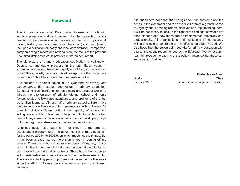# **Foreword**

The fifth annual *Education Watch* report focuses on quality with equity in primary education. It probes into inter-connected factors bearing on performance of schools and children in 10 upazilas. A micro (children, teachers, parents and the school) and meso (role of the upazila education authority and local administration) perspective, complementing a macro and national view, the focus of the previous *Education Watch* studies, is provided in the present report.

The big picture of primary education deprivation is well-known. Despite commendable progress in the last fifteen years in expanding enrolment, the large majority of children, as many as two out of three, mostly poor and disadvantaged in other ways, are growing up without basic skills and preparation for life.

It is not one or another cause, but *a syndrome of poverty and disadvantage*, that causes deprivation in primary education. Contributing significantly to non-enrolment and dropout are child labour, the phenomenon of private tutoring, school and home factors related to low class attendance, and problems of the first generation learners. Almost half of primary school children have mothers who are illiterate and both parents are without literacy for one-third of the children. Without the capacity of school and willingness or ability of teachers to help the child to catch up when needed, any disruption in schooling sets in motion a slippery slope of further lag, more absences, and eventual dropping out.

Ambitious goals have been set for PEDP II, the umbrella development programme of the government in primary education for the period 2003/4 to 2008/9, on which much hope is pinned. But it has been already late by more than a year in getting off the ground. There has to be a much greater sense of urgency, greater determination to cut through inertia and bureaucratic obstacles on both national and external donor fronts. There has to be a stronger will to resist extraneous vested interests than has been seen so far. The slow and halting pace of progress witnessed in the five years since the 2015 EFA goals were adopted must shift to a different cadence.

It is our sincere hope that the findings about the problems and the needs in the classroom and the school will prompt a greater sense of urgency about shaping reform initiatives and implementing them. It will be necessary to look, in the light of the findings, at what have been planned and how these can be implemented effectively and professionally. All organisations and institutions in the country willing and able to contribute to this effort should be involved. We also hope that the seven point agenda for primary education with quality and equity recommended by the *Education Watch* research team will receive the backing of the policy-makers so that these can serve as a guideline.

**Fazle Hasan Abed** Dhaka Chair anns an t-Iomraid anns an t-Iomraid anns an t-Iomraid anns an t-Iomraid anns an t-Iomraid anns an January 2005 Campaign for Popular Education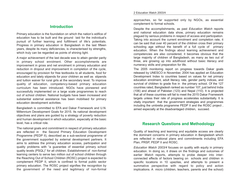### **Introduction**

Primary education is the foundation on which the nation's edifice of education has to be built and the ground laid for the individual's pursuit of further learning and fulfillment of life's potentials. Progress in primary education in Bangladesh in the last fifteen years, despite its many deficiencies, is characterised by strengths, which truly can be regarded as points of shining light.

A major achievement of the last decade was to attain gender parity in primary school enrolment. Other accomplishments are improvement in gross and net enrolment in primary education and reduction in dropout and improvement in completion of the cycle, encouraged by provision for free textbooks to all students, food for education and lately stipends for poor children as well as stipends and tuition waiver for rural girls at the secondary level. To improve quality of education, competency-based primary education curriculum has been introduced. NGOs have pioneered and successfully implemented on a large scale programmes to reach out of school children. National budgets have been increased and substantial external assistance has been mobilised for primary education development activities.

Bangladesh is committed to EFA and Dakar Framework and U.N. Millennium Development Goals for 2015. Its national development objectives and plans are guided by a strategy of poverty reduction and human development in which education, especially at the basic level, has a critical role.

The national goals and commitment in respect of primary education are reflected in the Second Primary Education Development Programme (PEDP II), described as a sub-sectoral programme of the government supported by external development partners. It aims to address the primary education access, participation and quality problems with "a guarantee of essential primary school quality levels (PSQL)" for all children. Establishment of non-formal learning centers to serve two million out of school children through the Reaching Out of School Children (ROSC) project is expected to complement PEDP II, which is confined to formal public sector primary education. The ROSC project signifies the recognition by the government of the need and legitimacy of non-formal

approaches, so far supported only by NGOs, as essential complement to formal schools.

Despite the accomplishments, as past *Education Watch* reports and national education data show, primary education remains plagued by serious problems in respect of access and participation. Taking into account the current enrolment and completion rate, it can be said that over 40 percent of the children cross their primary schooling age without the benefit of a full cycle of primary education. When the findings about learning achievement and competencies are also considered, it becomes obvious that the large majority of children of Bangladesh, as many as two out of three, are growing up into adulthood without basic literacy and numeracy skills and preparation for life.

The 2005 monitoring report on progress towards Dakar goals released by UNESCO in November, 2004 has applied an Education Development Index to countries based on values for net primary education enrolment, adult literacy rate, gender parity indices, and survival of children to grade five in the primary school. Of the 127 countries rated, Bangladesh ranked as number 107, just behind India (106) and ahead of Pakistan (123) and Nepal (110). It is projected that all of these countries will fail to meet the 2015 Dakar Framework targets unless their rate of progress accelerates substantially. It is vitally important that the government strategies and programmes including the umbrella programme PEDP II and the ROSC project , aimed especially at the disadvantaged children, succeed.

## **Research Questions and Methodology**

Quality of teaching and learning and equitable access are clearly the dominant concerns in primary education in Bangladesh which are reflected in national plans and commitments including EFA Plan, PRSP, PEDP II and ROSC.

*Education Watch 2003/4* focuses on quality with equity in primary education. In doing so, it draws on the findings and outcomes of earlier *Watch* reports, attempts to probe deeper into interconnected effects of factors bearing on schools and children in specific locations in 10 upazilas, and attempts to present a summative perspective with regard to policy and action implications. A micro (children, teachers, parents and the school)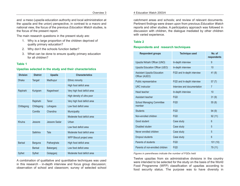and a meso (upazila education authority and local administration at the upazila and the union) perspective, in contrast to a macro and national view, the focus of the previous *Education Watch* studies, is the focus of the present report.

The main research questions in the present study are:

- 1. Why is a large proportion of the children deprived of quality primary education?
- 2. Why don't the schools function better?
- 3. What can be done to ensure quality primary education for all children?

#### **Table 1**

#### **Upazilas selected in the study and their characteristics**

| <b>Division</b> | <b>District</b> | <b>Upazila</b> | <b>Characteristics</b>      |  |
|-----------------|-----------------|----------------|-----------------------------|--|
| <b>Dhaka</b>    | Tangail         | Madhupur       | <b>Ethnic minority</b>      |  |
|                 |                 |                | High food deficit area      |  |
| Rajshahi        | Kurigram        | Nageshwari     | Very high food deficit area |  |
|                 |                 |                | High density of ultra poor  |  |
|                 | Rajshahi        | Tanor          | Very high food deficit area |  |
| Chittagong      | Chittagong      | Lohagara       | Low food deficit area       |  |
|                 | Comilla         | Chandina       | <b>Municipality</b>         |  |
|                 |                 |                | Moderate food deficit area  |  |
| Khulna          | Jessore         | Jessore Sadar  | Urban                       |  |
|                 |                 |                | Low food deficit area       |  |
|                 | <b>Satkhira</b> | Tala           | Moderate food deficit area  |  |
|                 |                 |                | WFP Biscuit project area    |  |
| <b>Barisal</b>  | Barguna         | Patharghata    | High food deficit area      |  |
|                 | <b>Barisal</b>  | Bakerganj      | Low food deficit area       |  |
| <b>Sylhet</b>   | <b>Sylhet</b>   | Golapganj      | Moderate food deficit area  |  |

A combination of qualitative and quantitative techniques was used in this research - in-depth interview and focus group discussion; observation of school and classroom; survey of selected school

#### Overview 3 4 Education Watch 2003/4

catchment areas and schools; and review of relevant documents. Pertinent findings were drawn upon from previous *Education Watch* reports and other studies. A participatory approach was followed in discussion with children, the dialogue mediated by other children with varied experience.

#### **Table 2**

#### **Respondents and research techniques**

| <b>Respondent groups</b>                             | <b>Technique used</b>       | No. of<br>respondents |
|------------------------------------------------------|-----------------------------|-----------------------|
| Upazila Nirbahi Officer (UNO)                        | In-depth interview          | 9                     |
| Upazila Education Officer (UEO)                      | In-depth interview          | 10                    |
| <b>Assistant Upazila Education</b><br>Officer (AUEO) | FGD and In-depth interview  | 41(8)                 |
| Public representative                                | FGD and In-depth interview  | 57(7)                 |
| <b>URC</b> instructor                                | Interview and documentation | $\overline{7}$        |
| Head teacher                                         | In-depth interview          | 10                    |
| Assistant teacher                                    | <b>FGD</b>                  | 31(9)                 |
| <b>School Managing Committee</b><br>member           | <b>FGD</b>                  | 55(8)                 |
| <b>Students</b>                                      | <b>FGD</b>                  | 94(9)                 |
| Non-enrolled children                                | <b>FGD</b>                  | 92(11)                |
| Good student                                         | Case study                  | 6                     |
| Disabled studen                                      | Case study                  | 5                     |
| Never enrolled children                              | Case study                  | 5                     |
| Dropout students                                     | Case study                  | 6                     |
| Parents of students                                  | <b>FGD</b>                  | 101(10)               |
| Parents of non-enrolled children                     | <b>FGD</b>                  | 79 (11)               |

*Figures in parentheses indicate the number of FGDs held*

Twelve upazilas from six administrative divisions in the country were intended to be selected for the study on the basis of the World Food Programme (WFP) classification of upazilas according to food security status. The purpose was to have diversity in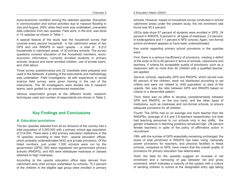socio-economic condition among the selected upazilas. Disruption in communication and school activities due to massive flooding in July and August, 2004, when field work was undertaken, prevented data collection from two upazilas. Field work, in the end, was done in 10 upazilas as shown in Table 1.

A special feature of the study was the household survey that covered every second household in the catchment areas of two GPS and one RNGPS in each upazila - a total of 8,212 households in catchment areas of 30 primary schools. The survey questions covered education of the household members, socioeconomic information, currently enrolled students in primary schools, dropout and never enrolled children, use of private tutors, and child labour.

Three survey questionnaires and 22 checklists were prepared and used in the fieldwork. A piloting of the instruments and methodology was undertaken. Field investigators, all with experience in social science field survey, were given training in the use of the instruments. The 36 investigators were divided into 6 research teams, each guided by an experienced researcher.

Various respondent groups at the different levels, research techniques used and number of respondents are shown in Table 2.

# **Key Findings and Conclusions**

#### **A. Education provisions**

The ten upazilas selected from all six divisions of the country had a total population of 3,200,000 with a primary school age population of 514,000. There were 2,452 primary education institutions in the 10 upazilas, according to data from upazila education offices, which probably underestimated NGO and private provisions. Of the listed numbers, just under 1,000 schools were run by the government (GPS), 600 were registered non-government primary schools (RNGPS), and 400 were ebtedayee madrasas or classes attached to high madrasas.

According to the upazila education office data derived from catchment area child surveys undertaken by schools, 75.3 percent of the children in the eligible age group were enrolled in primary

schools. However, based on household survey conducted in school catchment areas under the present study, the net enrolment rate found was 90.4 percent.

UEOs data show 57 percent of students were enrolled in GPS, 24 percent in RNGPS, 9 percent in all types of madrasas, 2.5 percent, in kindergartens and 1.1 percent in NFE schools. Again, non-formal school enrolment appears to have been underestimated.

Key points regarding primary school provisions in the upazilas were:

*First*, there is a serious insufficiency of provisions, creating a deficit of the order of 50 to 60 percent in terms of schools, classrooms and teachers, if criteria for acceptable quality of provisions, such as a classroom with no more than 40 children with a qualified teacher, are applied.

*Second*, schools, especially GPS and RNGPS, which served over 80 percent of the children, were not distributed according to set criteria and were not related to child population or area of the upazila. Nor was the ratio between GPS and RNGPS based on criteria or a discernible pattern.

*Third*, there was no effort to develop complementarity between GPS and RNGPS, on the one hand, and the other types of institutions, such as madrasas and non-formal schools, to ensure adequate provisions for all children.

*Fourth*, The GPSs had on an average one more teacher than the RNGPSs, (average of 4.5 and 3.8 teachers respectively), but both had teaching personnel to run schools only in two shifts; the gender imbalance in teaching positions remained high (39 percent female teachers) in spite of the policy of affirmative action in recruitment.

*Fifth*, with the number of GPS essentially remaining unchanged, the share of total enrolment in RNGPS has been rising. Generally poorer provisions for teachers, and physical facilities in these schools, compared to GPS, have meant that the overall quality of provisions for primary education has deteriorated.

*Sixth*, the data for the upazilas suggest an increase in net enrolment and a narrowing of gap between net and gross enrolment, which indicates a maturity of the system with a culture of sending children to school at the designated entry age taking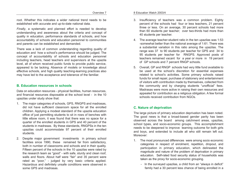root. Whether this indicates a wider national trend needs to be established with accurate and up-to-date national data.

*Finally*, a systematic and planned effort is needed to develop understanding and awareness about the criteria and concept of quality in education, performance standards of schools, and how accountability of schools and education personnel to communities and parents can be established and demanded.

There was a lack of common understanding regarding quality of education and how a school's performance should be judged. The concept of accountability of schools and education personnel including teachers, head teachers and supervisors at the upazila level, all of whom received public funds to provide public service, appeared to be lacking. Absence of models or knowledge about effective schools, and high quality teaching-learning practices also may have led to the acceptance and tolerance of the familiar.

#### **B. Education resources in schools**

Data on education resources - physical facilities, human resources, and financial resources disposable at the school level - in the 10 upazilas under study show that:

- 1. The major categories of schools, GPS, RNGPS and madrasas, did not have sufficient classroom space for all the enrolled children. Applying a modest standard of the upazila education office of just permitting students to sit in rows of benches with little elbow room, it was found that there was no space for a quarter of the enrolled students in GPS and 40 percent of the students in madrasas. By these standards, RNGPSs in the ten upazilas could accommodate 97 percent of their enrolled students.
- 2. Despite major government investments in primary school facilities since 1990, these remained far from satisfactory, both in number of classrooms and schools and in their quality. Fifteen percent of the schools in the 10 upazilas were rated by the research team as "good" - with safe, sturdy and clean roof, walls and floors. About half were "fair" and 35 percent were rated as "poor," - judged by very basic criteria applied. Hazardous and definitely unsafe conditions were observed in some GPS and madrasas.

#### Overview 7 8 Education Watch 2003/4

- 3. Insufficiency of teachers was a common problem. Eighty percent of the schools had four or less teachers, 21 percent three or less. On an average, 30 percent schools had more than 60 students per teacher; over two-thirds had more than 40 students per teacher.
- 4. The average teacher-student ratio in the ten upazilas was 1:53 -somewhat better than the national average of 1:61. There was a substantial variation in this ratio among the upazilas. The range was 37 to 90 students per teacher for GPS and 34 to 95 students per teacher for RNGPS. Approved posts of teachers remained vacant for a year or more in 19 percent of GP schools and 7 percent RNGP schools.
- 5. Overall, GP and RNGP schools had very little fund available to be used at the school's discretion for essential expenses related to school's activities. Some primary schools raised funds for small repair, purchase of stationery and entertainment of visitors with contribution made by themselves, collected from the community and by charging students "unofficial" fees. Madrasas were more active in raising their own resources and appealed for contribution as a religious obligation. A few formal schools received contribution from NGOs.

## **C. Nature of deprivation**

The large picture of primary education deprivation has been noted. The good news is that a broad-based gender parity has been observed across the board among catchment areas, upazilas, school types, and socio-economic groups. This accomplishment needs to be deepened to improve learning outcome for both girls and boys, and extended to include all who still remain left out. Moreover:

- 1. The most pronounced differences were among socio economic categories in respect of enrolment, repetition, dropout, and participation in primary education, which delineated the magnitude and nature of the problem of deprivation in primary education. Self-rated food security status of households was taken as the proxy for socio-economic grouping.
	- In the surveyed upazilas, a child from an "always in deficit" family had a 30 percent less chance of being enrolled in a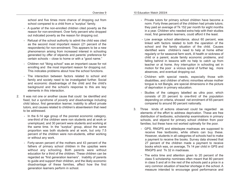school and five times more chance of dropping out from school compared to a child from a "surplus" family.

- A quarter of the non-enrolled children cited poverty as the reason for non-enrolment. Over forty percent who dropped out indicated poverty as the reason for dropping out.
- Refusal of the school authority to admit the child was cited as the second most important reason (21 percent of the respondents) for non-enrolment. This appears to be a new phenomenon arising from increased interest in schooling generated by offer of stipends and parents' preference for certain schools – close to home or with a "good name."
- Children not "liking school" was an important cause for not enrolling and the most important reason for dropping out. This indicates problems about how the school functions.
- The interaction between factors related to school and family and society need to be investigated further. Social and economic disadvantage of the child and the child's background and the school's response to this are key elements in this interaction.
- 2. It was not one or another cause that could be identified and fixed, but *a syndrome of poverty and disadvantage* including child labour, first generation learner, inability to afford private tutors, and causes related to children's absenteeism that need to be addressed.
	- In the 6-14 age group of the poorest economic category, one-third of the children were non students and at work or unemployed, and 30 percent were students and working at the same time. In the "surplus" group, about the same proportion was both students and at work, but only 7.5 percent of the children were non-students, either working or without any work.
	- Forty-seven percent of the mothers and 43 percent of the fathers of primary school children in the upazilas were without any schooling. Both parents were without education for a third of the children. These children can be regarded as "first generation learners". Inability of parents to guide and support their children, and the likely economic disadvantage of these families, affect how the first generation learners perform in school.
- Private tutors for primary school children have become a norm. Forty three percent of the children had private tutors; they paid an average of Tk 152 per month for eight months in a year. Children who needed extra help with their studies most, first generation learners, could afford it the least.
- Low average school attendance, about 60 percent, was linked with factors related to both the operation of the school and the family situation of the child. Causes identified were children's need to help at home either regularly or for seasonal farm work, ill health or sickness of child or a parent, acute family economic problems, and falling behind in lessons with no help to catch up from teacher or at home. Any interruption in schooling set in motion for the poor a vicious spiral of further lag, more absences, and eventual dropping out.
- Children with special needs, especially those with disabilities, and children of ethnic minorities whose mother tongue is not Bangla, are special dimensions in the picture of deprivation in primary education.
- Studies of the category labelled as ultra poor, which consists of 20 percent to one-third of the population depending on criteria, showed net enrolment of 65 percent compared to around 80 percent nationally.
- 3. Three kinds of actions observed could be regarded as elements of the effort to address deprivation. These are free distribution of textbooks, scholarship examinations in primary schools, and stipend for primary school children from poor families; but these have not worked optimally for the poor.
	- GPS, RNGPS and ebtedayee madrasas are supposed to receive free textbooks, while others can buy these. However, students in all categories of schools had to make a payment to receive the books. Survey data showed that 27 percent of the children made a payment to receive books which was, on average, Tk 14 per child in GPS and RNGPS and Tk 32 in madrasas.
	- The extra time and attention given to 20 percent of the class 5 scholarship nominees often meant that 80 percent in class 5 and all in the rest of the schools paid a price in a very common situation of teacher shortage in the school. A measure intended to encourage good performance and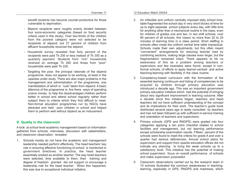benefit students has become counter-productive for those vulnerable to deprivation.

- Stipend recipients were roughly evenly divided between four socio-economic categories (based on food security criteria used in this study). Over two-thirds of the children from the poorest category were not selected to be recipients of stipend; but 27 percent of children from affluent households received the stipend.
- Household survey revealed that forty percent of the recipients were paid Tk 200 or less instead of Tk 300 as a quarterly payment. Students from "rich" households received on average Tk 260 and those from "poor" households were paid Tk 225.
- Targeting the poor, the principal rationale of the stipend programme, does not appear to be working, at least in the upazilas under study. There are also major problems in the management and administration of the programme, one manifestation of which is "cuts" taken from stipend. A basic dilemma of the programme is: Are there ways of spending scarce money to help the disadvantaged children perform better in school and attend school regularly rather than subject them to criteria which they find difficult to meet. Non-formal education programmes run by NGOs have attracted and held poor children in school and helped them to perform well without stipend as an inducement.

#### **D. Quality in the classroom**

A look at school level academic management based on information gathered from schools, interviews, discussion with stakeholders, and classroom observation revealed:

1. Schools mostly do not have the academic and management leadership needed perform effectively. The head teachers' key role in ensuring effective functioning of school is mentioned in government directives. In practice, the head teacher essentially worked as another teacher. The way head teachers were selected, time available to them, their training and degree of freedom granted did not support or encourage a leadership role for the head teacher. When this happened, this was due to exceptional individual initiative.

- 2. An inflexible and uniform centrally imposed daily school timetable fragmented the school day in very short blocks of time for up to eight separate school subjects every day, with little time for anything other than a mechanical routine in the class, even for children of grades one and two. In two shift schools, over 90 percent of all schools, this meant no more than 20 to 25 minutes of learning time in a class period. Short staffing in schools often made the uniform central time table impractical. Schools made their own adjustments, but this often meant "convenient" arrangements for reducing teacher load by combining sections, making large classes even larger, but the fragmentation remained intact. There appears to be no awareness of this as a problem among teachers or supervisors and few examples were found, except in nonformal schools, of efforts to apply learner-centred and active teaching-learning with flexibility in the class routine.
- 3. Competency-based curriculum with the formulation of the essential learning continuum and listing of competencies to be acquired by children through primary education was introduced a decade ago. This was an important government primary education initiative which had the potential of bringing about very significant improvement in learning outcome. After a decade since this initiative began, teachers and head teachers did not have sufficient understanding of the concept and its implications for their work. The teacher's guide book distributed several years ago is rarely consulted by teachers and has not been followed up with sufficient in-service training and orientation of teachers and supervisors.
- 4. Primary schools (GPS and RNGPS) were graded into four categories applying a ten point checklist related to school facilities and management, but not learning performance except scholarship examination results. Fifteen percent of the schools were found to meet the criteria for grade A and over a quarter had serious deficiencies. Annual school plans for supervision and support from upazila education offices did not indicate any planning to bring the weak schools up to a satisfactory level. This initiative has the potential of making school supervision focus on overall performance of schools and make supervision purposeful.
- 5. Classroom observations carried out by the research team in 10 schools illustrated the common weaknesses in teachinglearning, especially in GPS, RNGPS and madrasas, which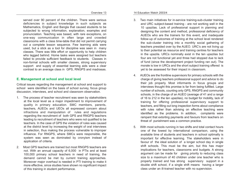served over 90 percent of the children. There were serious deficiencies in subject knowledge in such subjects as Mathematics, English and Bangla that caused students to be subjected to wrong information, explanation, examples and pronunciation. Teaching was based, with rare exceptions, on one-way communication in often large and crowded classrooms with a class time-table that did not permit carrying out a complete lesson sequence. Few learning aids were used, but a stick as a tool for discipline was seen in many classes. There was little effort or opportunity to help children who lagged behind. Home tasks were assigned but teachers failed to provide sufficient feedback to students. Classes in non-formal schools with smaller classes, strong supervisory support and supply of essential learning aids were a clear contrast to an average class in GPS, RNGPS and madrasas.

## **E. Management at school and local level**

Critical issues regarding the management at school and support to school were identified on the basis of school survey, focus group discussion, interviews, and school and classroom observation.

- 1. The process of teacher recruitment was seen by stakeholders at the local level as a major impediment to improvement of quality in primary education. SMC members, parents, teachers, AUEOs and UEOs all expressed concern about infractions and manipulation of rules and regulations regarding the recruitment of both GPS and RNGPS teachers leading to recruitment of teachers who were not qualified to be teachers. In the case of GPS the violation of rules was caused at the district level by increasing the weight of oral interviews in selection, thus making the process vulnerable to improper influence. For RNGPS, where SMCs were responsible, the system was seen as dominated by cronyism instead of application of criteria.
- 2. Most GPS teachers are trained but most RNGPS teachers are not. With an annual capacity of 6,000 in PTIs and at least 100,000 primary school teachers in need of training, the demand cannot be met by current training approaches. Moreover major overhaul is needed in PTI training to make it more effective, since studies have shown no significant impact of this training in student performance.
- 3. Two main initiatives for in-service training-sub-cluster training and URC subject-based training - are not working well in the 10 upazilas. Lack of professional support in planning and designing the content and method, professional deficiency of AUEOs who are the trainers for this event, and inadequate follow-up of outcomes of training at the school level rendered the sub-cluster training into a monthly social gathering of teachers presided over by the AUEO. URC's are not living up to their potential as resource and training centres for teachers in the upazila. URCs nominally exist in the ten upazilas but four are not functional yet and three had stopped due to lack of fund (since the development project funding ran out). The morale is low in URCs and the short subject training offered is yet to be assessed for their impact in classroom.
- 4. AUEOs are the frontline supervisors for primary schools with the charge of giving teachers professional support and advice to do their job properly. Most informants in focus groups and interviews thought this promise is far from being fulfilled. Large number of schools, counting only GPS, RNGPS and community schools, in the charge of an AUEO (average of 41 and a range of 16 to 212 in the ten upazilas), no budget for mobility, lack of training for offering professional supervisory support to teachers, and filling out long inspection forms about compliance with rules rather than advising on effective teaching were identified as the problems. In addition, complaints were rampant that extorting payments and favours from teachers on threat of punishment was a common practice.
- 5. With most schools running in two shifts and total contact hours one of the lowest by international comparison, using the available time of students and teachers in school optimally is important for effective learning. The stakeholders were in favour of the ideal solution of a longer school day in single shift schools. This must be the aim, but this has major implications for teachers, classrooms and budgets. A strong argument can be made for giving priority to reducing class size to a maximum of 40 children under one teacher who is properly trained and has strong supervisory support in a double shift school, if a single shift means having a larger class under an ill-trained teacher with no supervision.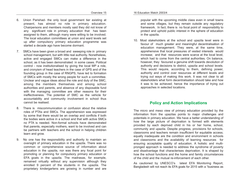- 6. Union Parishad- the only local government tier existing at present, has almost no role in primary education. Chairpersons and members mostly said they did not know of any significant role in primary education that has been assigned to them, although many were willing to be involved. The local education committees at union and ward levels set up after compulsory primary education programme was started a decade ago have become dormant.
- 7. SMCs have been given a broad and sweeping role in primary school management, but with little real authority. Nonetheless, active and engaged SMCs can make a difference in the school, as it has been demonstrated in some cases. Political control - now institutionalised by giving the local MP a role, and cronyism of head teachers in the case of GPS and of the founding group in the case of RNGPS, have led to formation of SMCs with mostly the wrong people for such a committee. Unclear and vague ideas about the role and duty of the SMC, among the members themselves and among school authorities and parents, and absence of any disposable fund with the managing committee are other reasons for their ineffectiveness. The potential of SMC as the vehicle for accountability and community involvement in school thus cannot be realised.
- 8. There is miscommunication or confusion about the relative roles of PTAs and SMCs. The apprehension was expressed by some that there would be an overlap and conflicts if both the bodies were active in a school and that with active SMCs no PTA is needed. Non-formal schools have demonstrated that parents, especially mothers, want to be involved and can be partners with teachers and the school in helping children learn and grow.
- 9. No one has the responsibility and authority to maintain an oversight of primary education in the upazila. There was no common or comprehensive source of information about education in the upazila, nor was there any focal point for promoting or planning for compulsory primary education or EFA goals in the upazila. The madrasas, for example, remained virtually without any supervision although they enrolled 9 percent of the students in the upazila. The proprietary kindergartens are growing in number and are

popular with the upcoming middle class even in small towns and some villages, but they remain outside any regulatory framework. In fact, there is no focal point of responsibility to protect and uphold public interest in the sphere of education in the upazila.

10. Most stakeholders at the school and upazila level were in favour of much greater and meaningful decentralisation of education management. They were, at the same time, apprehensive that local pressures of vested interests would increase; and that resources were scarce at the local level, which had to come from the central authorities. On balance, however, they favoured a genuine shift towards devolution of authority and decisions to district, upazila and school levels. This would require, according to them, defining power, authority and control over resources at different levels and trying out ways of making this work. It was not clear to all stakeholders what form decentralisation should take and how it was to be achieved; hence the importance of trying out approaches in selected locations.

## **Policy and Action Implications**

The micro and meso view of primary education provided by the information from the upazilas points to major challenges and potentials in primary education. We have a better understanding of how the large picture of deprivation is formed with elements provided by each deprived child in his or her home, school, community and upazila. Despite progress, provisions for schools, classrooms and teachers remain insufficient for equitable access; equally inadequate are the condition and environment in schools and classrooms and the availability of learning resources for ensuring acceptable quality of education. A holistic and multipronged approach is needed to address the syndrome of poverty and disadvantage that characterises deprivation. It is shaped by how the school functions and the home and family circumstances of the child and the mutual re-inforcement of each other.

As cautioned by UNESCO's latest EFA Monitoring Report, Bangladesh will not reach its EFA goals for 2015 with a "business as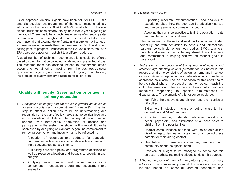usual" approach. Ambitious goals have been set for PEDP II, the umbrella development programme of the government in primary education for the period 2003/4 to 2008/9, on which much hope is pinned. But it has been already late by more than a year in getting off the ground. There has to be a much greater sense of urgency, greater determination to cut through inertia and bureaucratic obstacles on both national and external donor fronts, and a stronger will to resist extraneous vested interests than has been seen so far. The slow and halting pace of progress witnessed in the five years since the 2015 EFA goals were adopted must shift to a different cadence.

A good number of technical recommendations could be offered based on the information collected, analysed and presented above. The research team has decided instead to recommend seven action priorities aimed at moving from the business-as-usual approach and injecting a renewed sense of urgency about fulfilling the promise of quality primary education for all children.

# **Quality with equity: Seven action priorities in primary education**

- 1. *Recognition of inequity and deprivation in primary education as a serious problem and a commitment to deal with it*. The first step to effective action has to be an understanding and recognition on the part of policy makers at the political level and in the education establishment that primary education remains unequal with large-scale deprivation of access and participation in the system, as shown in this report. It can be seen even by analysing official data. A genuine commitment to removing deprivation and inequity has to be reflected in:
	- Allocation of resources and budgets for education programmes with equity and affirmative action in favour of the disadvantaged as key criteria,
	- Subjecting education policy and programme decisions as well as resource allocation and budgets to poverty impact analysis,
	- Applying poverty impact and consequences as a component in education programme assessment and evaluation,
- Supporting research, experimentation and analysis of experience about how the poor can be effectively served and the programme outcomes enhanced, and
- Adopting the rights perspective to fulfill the education rights and entitlements of all children.

This commitment at the national level has to be communicated forcefully and with conviction to donors and international partners, policy implementers, local bodies, SMCs, teachers, parents and even students. As key stakeholders, their role and commitment in helping achieve educational goals is paramount.

- 2. *Addressing at the school level the syndrome of poverty and disadvantage affecting student performance*. As noted in this report, a syndrome consisting of factors at home and in school causes children's deprivation from education, which has to be addressed holistically. The locus of action for this effort has to be the school where the education authorities can reach the child, the parents and the teachers and work out appropriate measures responding to specific circumstances of disadvantage. The elements of this response would be:
	- Identifying the disadvantaged children and their particular difficulties.
	- Extra help in studies in class or out of class to first generation and "slow" learners,
	- Providing learning materials (notebooks, workbooks, pencil, paper etc.) and elimination of all cash costs to children from the poor families.
	- Regular communication of school with the parents of the disadvantaged, designating a teacher for a group of these parents for maintaining contact.
	- Orientation of managing committee, teachers, and community about the special effort.
	- Provision of budget to be managed by school for this purpose - perhaps redirecting stipend funds for this purpose.
- 3. *Effective implementation of competency-based primary education*. The promise and potential of curricula and teachinglearning based on essential learning continuum and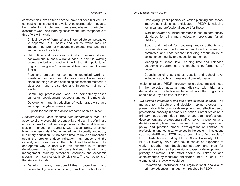competencies, even after a decade, have not been fulfilled. The concept remains sound and valid. A concerted effort needs to be made to implement competency-based curriculum, classroom work, and learning assessment. The components of this effort will include:

- Critical review of "terminal" and intermediate competencies to separate out beliefs and values, which may be important but are not measurable competencies, and their sequence and gradation.
- Using time and resources optimally to ensure student achievement in basic skills; a case in point is wasting scarce student and teacher time in the attempt to teach English from grade 1, when most teachers cannot speak English.
- Plan and support for continuing technical work on translating competencies into classroom activities, lesson plans, learning aids and continuing assessment methods in classroom, and pre-service and in-service training of teachers.
- Continuing professional work on competency-based curriculum development, textbooks and learning materials,
- Development and introduction of valid grade-wise and end-of-primary-level assessment
- Support for coordinated action research on this subject.
- 4. *Decentralisation, local planning and management trial*. The absence of any oversight responsibility and planning of primary education involving all service providers at the local level and lack of management authority with accountability at school level have been identified as impediment to quality and equity in primary education. At the same time, there is apprehension about the problems decentralisation may cause and the capacity and resources at the school and local level. The appropriate way to deal with this dilemma is to initiate development and trial of decentralised planning and management including personnel, resources and academic programme in six districts in six divisions. The components of the trial can include:
	- Defining tasks, responsibilities, capacities and accountability process at district, upazila and school levels,
- Developing upazila primary education planning and school improvement plans, as anticipated in PEDP II, including technical and professional support for these,
- Working towards a unified approach to ensure core quality standards for all primary education provisions for all children,
- Scope and method for devolving greater authority and responsibility and fund management to school managing committee and head teacher including accountability of school to community and education authorities.
- Managing at school level learning time and calendar, academic programme, and teacher's performance of duties.
- Capacity-building at district, upazila and school level including capacity to manage and use information.

Implementation of PEDP II programme in a decentralised mode in the selected upazilas and districts with trial and demonstration of effective implementation of the programme should be a key objective of the trial.

- 5. *Supporting development and use of professional capacity*. The management structure and decision-making process at present allow little room for development and effective use of professional capacity in primary education. Career structure in primary education does not encourage professional development and professional staff to rise to management and decision-making level. Personnel recruitment and deployment policy and practice hinder development of centres for professional and technical expertise in the sector in institutions such as NAPE and NCTB and at central and field levels of DPE. Institutions including IER of Dhaka University, IED of BRAC University, NAPE and NCTB should be supported to work together on developing strategy and plan for professionalisation and professional capacity development in primary education. This effort should be linked to and complemented by measures anticipated under PEDP II. The elements of this activity would be:
	- Undertaking institutional and organisational analysis of primary education management required in PEDP II.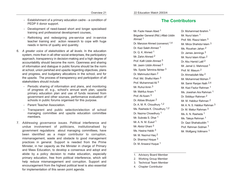- Establishment of a primary education cadre a condition of PEDP II donor support.
- Development of need-based short and longer specialised training and professional development courses,
- Rethinking and redesigning pre-service and in-service teacher training and action research to cope with huge needs in terms of quality and quantity.
- 6. *A greater voice of stakeholders at all levels*. In the education system, more than in all other social enterprises, the participatory approach, transparency in decision-making and a high degree of accountability should become the norm. Openness and sharing of information and dialogue in public forums should be the norm at school, union parishad and upazila regarding objectives, plans and progress, and budgetary allocations in the school, and for the upazila. The process of transparency and participation of all stakeholders should include:
	- Periodic sharing of information and plans, and monitoring of progress of, e.g., school's annual work plan, upazila primary education plan and use of funds received from government and other sources, performance evaluation of schools in public forums organised for this purpose.
	- Parent Teacher Association.
	- Transparent and public selection/election of school managing committee and upazila education committee members.
- 7. *Addressing governance issues*. Political interference and undue involvement of politicians, institutionalised by government regulations about managing committees, have been identified as a major contributor to corruption, mismanagement, waste and obstacle to good management practices in general. Support is needed from the Prime Minister, in her capacity as the Minister in charge of Primary and Mass Education, to develop a consensus and adopt and abide by a policy decision to make education, especially primary education, free from political interference, which will help reduce mismanagement and corruption. Support and encouragement from the highest political level is also essential for implementation of this seven point agenda.

# **The Contributors**

Mr. Fazle Hasan Abed 1 Brigadier General (Rtd.) Aftab Uddin Ahmad <sup>1</sup> Dr. Manzoor Ahmed (convenor) 1,4 Dr. Kazi Saleh Ahmed <sup>1</sup> Dr. O. K. Ahmed <sup>1</sup> Mr. Zahin Ahmed <sup>2</sup> Prof. Kafil Uddin Ahmed <sup>3</sup> Mr. Jasim Uddin Ahmed <sup>3</sup> Ms. Syeda Tahmina Akhter <sup>3</sup> Dr. Mahmudul Alam <sup>2</sup> Prof. Md. Shafiul Alam <sup>3</sup> Prof. Muhammad Ali <sup>3</sup> Mr. Ruhul Amin 3 Mr. Mahfuz Anam <sup>1</sup> Prof. Ali Azam <sup>3</sup> Dr. Abbas Bhuiyan <sup>2</sup> Dr. A. M. R. Choudhury 1,2 Ms. Rasheda K. Choudhury 1,2 Dr. Nazma Chowdhury <sup>1</sup> Mr. Subrata S. Dhar <sup>1</sup> Mr. A. N. M. Fusuf 1 Mr. Abdul Ghani <sup>3</sup> Ms. Hasina Habib 3 Mr. M. Nazmul Haq 2 Dr. Shamsul Hoque 3 Dr. M. Anwarul Huque 1

Dr. Muhammad Ibrahim <sup>1</sup> Mr. Nurul Islam <sup>1</sup> Prof. Md. Riazul Islam <sup>3</sup> Mr. Mirza Shahidul Islam 3 Ms. Roushan Jahan 2 Dr. James Jennings 3 Mr. Nurul Islam Khan <sup>2</sup> Dr. Abu Hamid Latif 2 Mr. Jamal U. Mahmood 1 Prof. M. Masum <sup>2</sup> Dr. Ahmadullah Mia <sup>2</sup> Mr. Mohammad Mohsin <sup>2</sup> Mr. Samir Ranjan Nath 2,4 Mr. Kazi Fazlur Rahman <sup>1</sup> Ms. Jowshan Ara Rahman 1 Dr. Siddiqur Rahman <sup>2</sup> Mr. M. Habibur Rahman <sup>2</sup> Mr. A. N. S. Habibur Rahman <sup>3</sup> Dr. M. Matiur Rahman <sup>3</sup> Ms. A. N. Rasheda <sup>1</sup> Ms. Taleya Rehman 1 Dr. Qazi Shahabuddin <sup>1</sup> Prof. Rehman Sobhan <sup>1</sup> Mr. Wolfgang Vollmann 1

- 1. Advisory Board Member
- 2. Working Group Member
- 3. Technical Team Member
- 4. Chapter Contributor